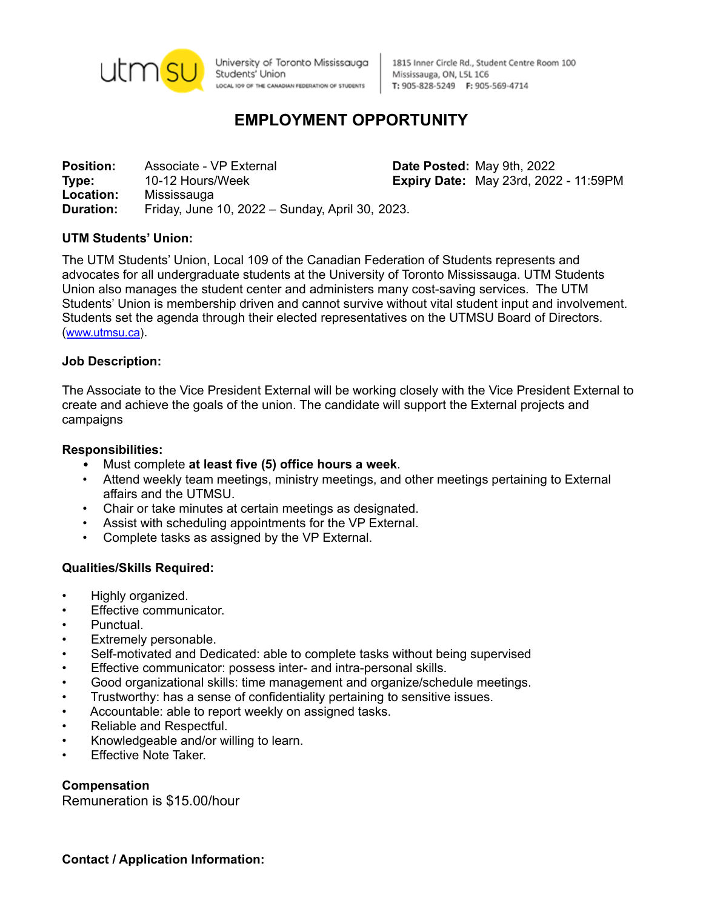

University of Toronto Mississauga Students' Union LOCAL IO9 OF THE CANADIAN FEDERATION OF STUDENTS

1815 Inner Circle Rd., Student Centre Room 100 Mississauga, ON, L5L 1C6 T: 905-828-5249 F: 905-569-4714

# **EMPLOYMENT OPPORTUNITY**

**Position:** Associate - VP External **Date Posted:** May 9th, 2022 **Type:** 10-12 Hours/Week **Expiry Date:** May 23rd, 2022 - 11:59PM **Location:** Mississauga **Duration:** Friday, June 10, 2022 – Sunday, April 30, 2023.

### **UTM Students' Union:**

The UTM Students' Union, Local 109 of the Canadian Federation of Students represents and advocates for all undergraduate students at the University of Toronto Mississauga. UTM Students Union also manages the student center and administers many cost-saving services. The UTM Students' Union is membership driven and cannot survive without vital student input and involvement. Students set the agenda through their elected representatives on the UTMSU Board of Directors. ([www.utmsu.ca](http://www.utmsu.ca)).

#### **Job Description:**

The Associate to the Vice President External will be working closely with the Vice President External to create and achieve the goals of the union. The candidate will support the External projects and campaigns

#### **Responsibilities:**

- Must complete **at least five (5) office hours a week**.
- Attend weekly team meetings, ministry meetings, and other meetings pertaining to External affairs and the UTMSU.
- Chair or take minutes at certain meetings as designated.
- Assist with scheduling appointments for the VP External.
- Complete tasks as assigned by the VP External.

#### **Qualities/Skills Required:**

- Highly organized.
- Effective communicator.
- Punctual.
- Extremely personable.
- Self-motivated and Dedicated: able to complete tasks without being supervised
- Effective communicator: possess inter- and intra-personal skills.
- Good organizational skills: time management and organize/schedule meetings.
- Trustworthy: has a sense of confidentiality pertaining to sensitive issues.
- Accountable: able to report weekly on assigned tasks.
- Reliable and Respectful.
- Knowledgeable and/or willing to learn.
- **Effective Note Taker.**

#### **Compensation**

Remuneration is \$15.00/hour